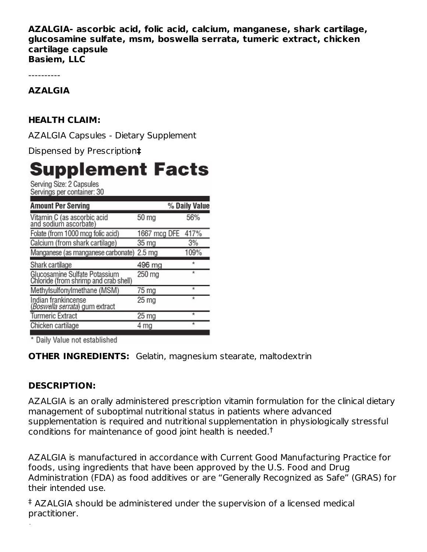**AZALGIA- ascorbic acid, folic acid, calcium, manganese, shark cartilage, glucosamine sulfate, msm, boswella serrata, tumeric extract, chicken cartilage capsule Basiem, LLC**

----------

#### **AZALGIA**

## **HEALTH CLAIM:**

AZALGIA Capsules - Dietary Supplement

Dispensed by Prescription**‡**

# **Supplement Facts**

Serving Size: 2 Capsules Servings per container: 30

| <b>Amount Per Serving</b>                                              |                   | % Daily Value |
|------------------------------------------------------------------------|-------------------|---------------|
| Vitamin C (as ascorbic acid<br>and sodium ascorbate)                   | 50 mg             | 56%           |
| Folate (from 1000 mcg folic acid)                                      | 1667 mcg DFE 417% |               |
| Calcium (from shark cartilage)                                         | 35 mg             | 3%            |
| Manganese (as manganese carbonate)                                     | 2.5 <sub>mg</sub> | 109%          |
| Shark cartilage                                                        | 496 mg            | $\star$       |
| Glucosamine Sulfate Potassium<br>Chloride (from shrimp and crab shell) | 250 mg            | $\star$       |
| Methylsulfonylmethane (MSM)                                            | 75 mg             | ×             |
| Indian frankincense<br>(Boswella serrata) gum extract                  | 25 <sub>mg</sub>  | ×             |
| <b>Turmeric Extract</b>                                                | 25 mg             | $\star$       |
| Chicken cartilage                                                      | ma                | $\star$       |
|                                                                        |                   |               |

\* Daily Value not established

**OTHER INGREDIENTS:** Gelatin, magnesium stearate, maltodextrin

## **DESCRIPTION:**

AZALGIA is an orally administered prescription vitamin formulation for the clinical dietary management of suboptimal nutritional status in patients where advanced supplementation is required and nutritional supplementation in physiologically stressful conditions for maintenance of good joint health is needed.<sup>†</sup>

AZALGIA is manufactured in accordance with Current Good Manufacturing Practice for foods, using ingredients that have been approved by the U.S. Food and Drug Administration (FDA) as food additives or are "Generally Recognized as Safe" (GRAS) for their intended use.

AZALGIA should be administered under the supervision of a licensed medical ‡ practitioner.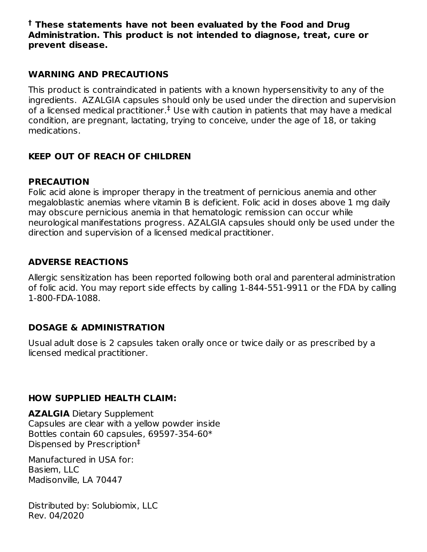**These statements have not been evaluated by the Food and Drug † Administration. This product is not intended to diagnose, treat, cure or prevent disease.**

## **WARNING AND PRECAUTIONS**

This product is contraindicated in patients with a known hypersensitivity to any of the ingredients. AZALGIA capsules should only be used under the direction and supervision of a licensed medical practitioner. $^{\ddagger}$  Use with caution in patients that may have a medical condition, are pregnant, lactating, trying to conceive, under the age of 18, or taking medications.

# **KEEP OUT OF REACH OF CHILDREN**

#### **PRECAUTION**

Folic acid alone is improper therapy in the treatment of pernicious anemia and other megaloblastic anemias where vitamin B is deficient. Folic acid in doses above 1 mg daily may obscure pernicious anemia in that hematologic remission can occur while neurological manifestations progress. AZALGIA capsules should only be used under the direction and supervision of a licensed medical practitioner.

## **ADVERSE REACTIONS**

Allergic sensitization has been reported following both oral and parenteral administration of folic acid. You may report side effects by calling 1-844-551-9911 or the FDA by calling 1-800-FDA-1088.

## **DOSAGE & ADMINISTRATION**

Usual adult dose is 2 capsules taken orally once or twice daily or as prescribed by a licensed medical practitioner.

## **HOW SUPPLIED HEALTH CLAIM:**

**AZALGIA** Dietary Supplement Capsules are clear with a yellow powder inside Bottles contain 60 capsules, 69597-354-60\* Dispensed by Prescription ‡

Manufactured in USA for: Basiem, LLC Madisonville, LA 70447

Distributed by: Solubiomix, LLC Rev. 04/2020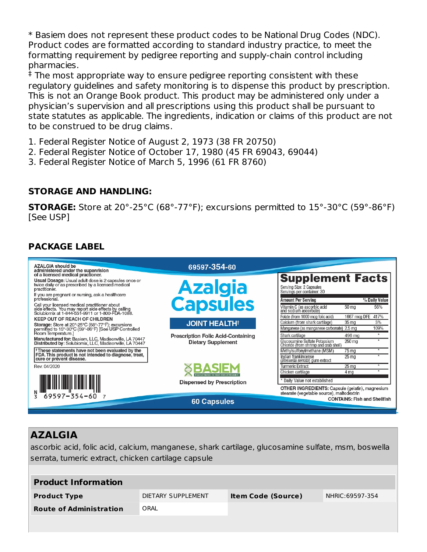\* Basiem does not represent these product codes to be National Drug Codes (NDC). Product codes are formatted according to standard industry practice, to meet the formatting requirement by pedigree reporting and supply-chain control including pharmacies.

 $^\ddag$  The most appropriate way to ensure pedigree reporting consistent with these regulatory guidelines and safety monitoring is to dispense this product by prescription. This is not an Orange Book product. This product may be administered only under a physician's supervision and all prescriptions using this product shall be pursuant to state statutes as applicable. The ingredients, indication or claims of this product are not to be construed to be drug claims.

1. Federal Register Notice of August 2, 1973 (38 FR 20750)

- 2. Federal Register Notice of October 17, 1980 (45 FR 69043, 69044)
- 3. Federal Register Notice of March 5, 1996 (61 FR 8760)

#### **STORAGE AND HANDLING:**

**STORAGE:** Store at 20°-25°C (68°-77°F); excursions permitted to 15°-30°C (59°-86°F) [See USP]

# **PACKAGE LABEL**



# **AZALGIA**

ascorbic acid, folic acid, calcium, manganese, shark cartilage, glucosamine sulfate, msm, boswella serrata, tumeric extract, chicken cartilage capsule

| <b>Product Information</b>     |                    |                           |                 |
|--------------------------------|--------------------|---------------------------|-----------------|
| <b>Product Type</b>            | DIETARY SUPPLEMENT | <b>Item Code (Source)</b> | NHRIC:69597-354 |
| <b>Route of Administration</b> | ORAL               |                           |                 |
|                                |                    |                           |                 |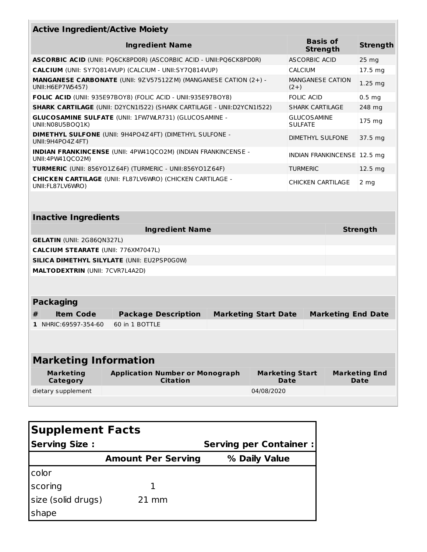| <b>Active Ingredient/Active Moiety</b>                                                                                    |                                                                                            |                                    |                                                                       |                   |  |                           |
|---------------------------------------------------------------------------------------------------------------------------|--------------------------------------------------------------------------------------------|------------------------------------|-----------------------------------------------------------------------|-------------------|--|---------------------------|
| <b>Ingredient Name</b>                                                                                                    |                                                                                            | <b>Basis of</b><br><b>Strength</b> |                                                                       | <b>Strength</b>   |  |                           |
|                                                                                                                           | <b>ASCORBIC ACID (UNII: PQ6CK8PD0R) (ASCORBIC ACID - UNII:PQ6CK8PD0R)</b><br>ASCORBIC ACID |                                    |                                                                       | $25 \, mg$        |  |                           |
|                                                                                                                           | <b>CALCIUM</b> (UNII: SY7Q814VUP) (CALCIUM - UNII:SY7Q814VUP)<br><b>CALCIUM</b>            |                                    |                                                                       | $17.5 \text{ mg}$ |  |                           |
| MANGANESE CARBONATE (UNII: 9ZV57512ZM) (MANGANESE CATION (2+) -<br><b>MANGANESE CATION</b><br>UNII: H6EP7W5457)<br>$(2+)$ |                                                                                            |                                    |                                                                       | $1.25$ mg         |  |                           |
| FOLIC ACID (UNII: 935E97BOY8) (FOLIC ACID - UNII:935E97BOY8)<br><b>FOLIC ACID</b>                                         |                                                                                            |                                    |                                                                       | $0.5$ mg          |  |                           |
| <b>SHARK CARTILAGE (UNII: D2YCN1I522) (SHARK CARTILAGE - UNII:D2YCN1I522)</b><br><b>SHARK CARTILAGE</b>                   |                                                                                            |                                    |                                                                       | 248 mg            |  |                           |
| <b>GLUCOSAMINE SULFATE (UNII: 1FW7WLR731) (GLUCOSAMINE -</b><br><b>GLUCOSAMINE</b><br>UNII:N08U5BOQ1K)<br><b>SULFATE</b>  |                                                                                            |                                    |                                                                       | 175 mg            |  |                           |
| <b>DIMETHYL SULFONE (UNII: 9H4PO4Z4FT) (DIMETHYL SULFONE -</b><br>DIMETHYL SULFONE<br>UNII: 9H4PO4Z 4FT)                  |                                                                                            |                                    |                                                                       | 37.5 mg           |  |                           |
| <b>INDIAN FRANKINCENSE</b> (UNII: 4PW41QCO2M) (INDIAN FRANKINCENSE -<br>INDIAN FRANKINCENSE 12.5 mg<br>UNII:4PW41QCO2M)   |                                                                                            |                                    |                                                                       |                   |  |                           |
| <b>TURMERIC</b> (UNII: 856YO1Z64F) (TURMERIC - UNII:856YO1Z64F)<br><b>TURMERIC</b>                                        |                                                                                            |                                    |                                                                       | 12.5 mg           |  |                           |
| <b>CHICKEN CARTILAGE (UNII: FL87LV6WRO) (CHICKEN CARTILAGE -</b><br><b>CHICKEN CARTILAGE</b><br>UNII: FL87LV6WRO)         |                                                                                            |                                    | 2 mg                                                                  |                   |  |                           |
| <b>Inactive Ingredients</b>                                                                                               |                                                                                            |                                    |                                                                       |                   |  |                           |
| <b>Ingredient Name</b>                                                                                                    |                                                                                            |                                    |                                                                       | <b>Strength</b>   |  |                           |
| <b>GELATIN (UNII: 2G86QN327L)</b>                                                                                         |                                                                                            |                                    |                                                                       |                   |  |                           |
| <b>CALCIUM STEARATE (UNII: 776XM7047L)</b>                                                                                |                                                                                            |                                    |                                                                       |                   |  |                           |
| <b>SILICA DIMETHYL SILYLATE (UNII: EU2PSP0G0W)</b>                                                                        |                                                                                            |                                    |                                                                       |                   |  |                           |
| <b>MALTODEXTRIN (UNII: 7CVR7L4A2D)</b>                                                                                    |                                                                                            |                                    |                                                                       |                   |  |                           |
|                                                                                                                           |                                                                                            |                                    |                                                                       |                   |  |                           |
| <b>Packaging</b>                                                                                                          |                                                                                            |                                    |                                                                       |                   |  |                           |
| <b>Item Code</b><br>#<br>1 NHRIC: 69597-354-60                                                                            | <b>Package Description</b><br>60 in 1 BOTTLE                                               |                                    | <b>Marketing Start Date</b>                                           |                   |  | <b>Marketing End Date</b> |
|                                                                                                                           |                                                                                            |                                    |                                                                       |                   |  |                           |
| <b>Marketing Information</b>                                                                                              |                                                                                            |                                    |                                                                       |                   |  |                           |
| <b>Marketing</b><br>Category                                                                                              | <b>Application Number or Monograph</b><br><b>Citation</b>                                  |                                    | <b>Marketing Start</b><br><b>Marketing End</b><br><b>Date</b><br>Date |                   |  |                           |
| dietary supplement                                                                                                        |                                                                                            | 04/08/2020                         |                                                                       |                   |  |                           |
|                                                                                                                           |                                                                                            |                                    |                                                                       |                   |  |                           |

| <b>Supplement Facts</b> |                           |                               |  |  |
|-------------------------|---------------------------|-------------------------------|--|--|
| <b>Serving Size:</b>    |                           | <b>Serving per Container:</b> |  |  |
|                         | <b>Amount Per Serving</b> | % Daily Value                 |  |  |
| color                   |                           |                               |  |  |
| scoring                 |                           |                               |  |  |
| size (solid drugs)      | $21 \text{ mm}$           |                               |  |  |
| shape                   |                           |                               |  |  |